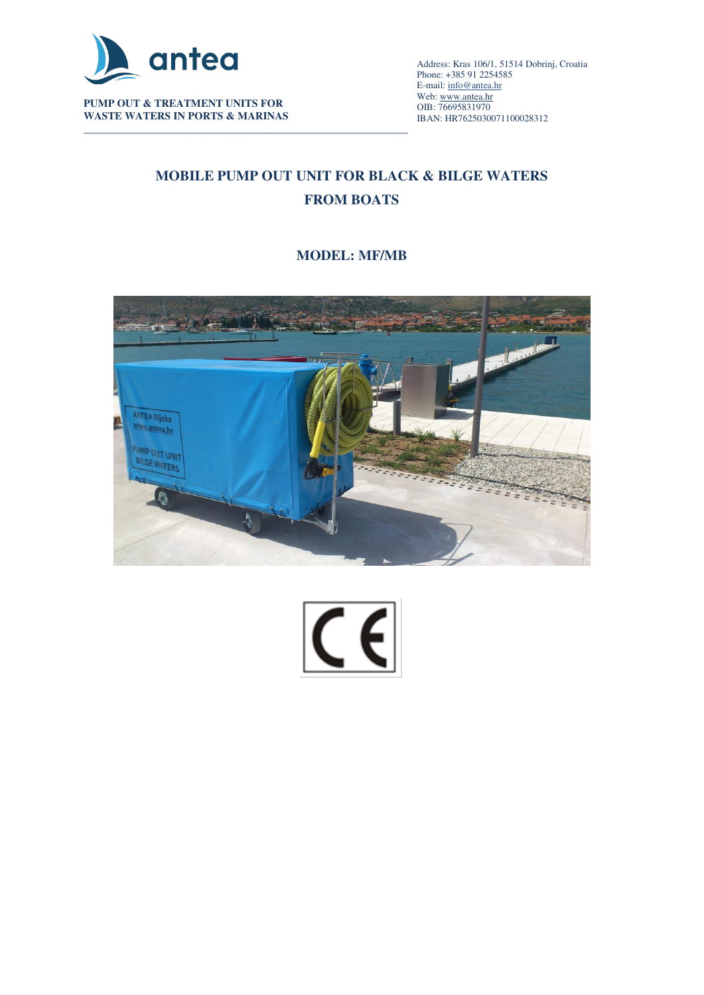

**PUMP OUT & TREATMENT UNITS FOR WASTE WATERS IN PORTS & MARINAS** 

\_\_\_\_\_\_\_\_\_\_\_\_\_\_\_\_\_\_\_\_\_\_\_\_\_\_\_\_\_\_\_\_\_\_\_\_\_\_\_\_\_\_\_\_\_\_\_\_\_\_\_\_\_\_\_\_\_\_\_\_\_\_\_\_\_\_\_\_\_\_\_\_\_\_\_\_\_\_\_\_\_\_\_\_\_\_\_\_\_\_ Address: Kras 106/1, 51514 Dobrinj, Croatia Phone: +385 91 2254585 E-mail[: info@antea.hr](mailto:info@antea.hr) Web: www.antea.hr OIB: 76695831970 IBAN: HR7625030071100028312

# **MOBILE PUMP OUT UNIT FOR BLACK & BILGE WATERS FROM BOATS**

## **MODEL: MF/MB**



 $|\overline{C}$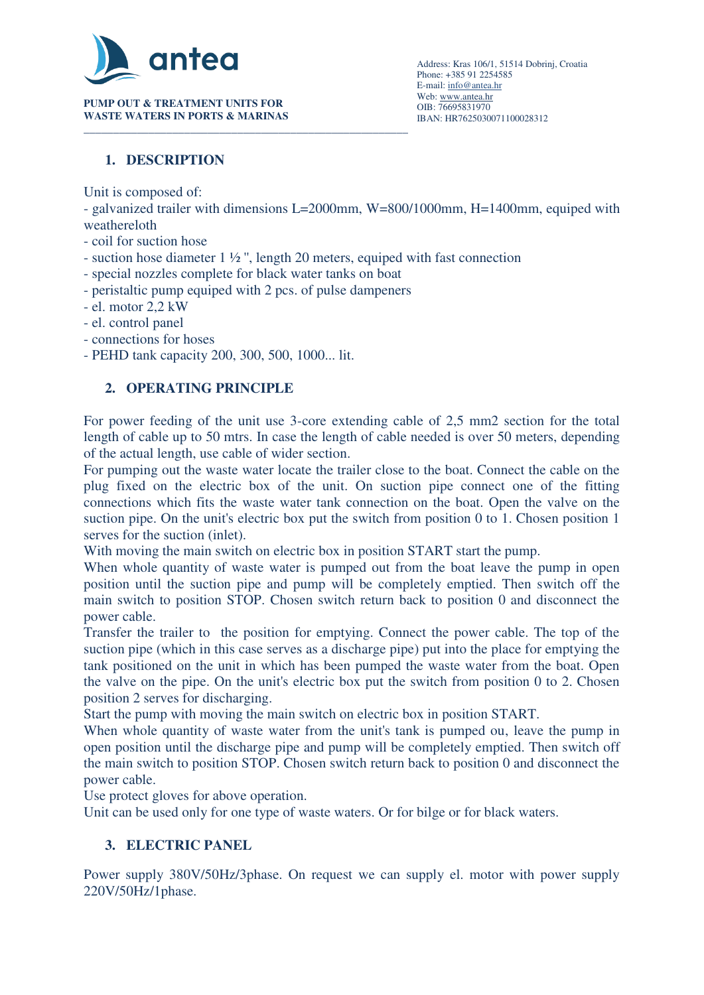

**PUMP OUT & TREATMENT UNITS FOR WASTE WATERS IN PORTS & MARINAS** 

## **1. DESCRIPTION**

Unit is composed of:

- galvanized trailer with dimensions L=2000mm, W=800/1000mm, H=1400mm, equiped with weathereloth
- coil for suction hose
- suction hose diameter 1 ½ '', length 20 meters, equiped with fast connection
- special nozzles complete for black water tanks on boat
- peristaltic pump equiped with 2 pcs. of pulse dampeners
- el. motor 2,2 kW
- el. control panel
- connections for hoses
- PEHD tank capacity 200, 300, 500, 1000... lit.

### **2. OPERATING PRINCIPLE**

For power feeding of the unit use 3-core extending cable of 2,5 mm2 section for the total length of cable up to 50 mtrs. In case the length of cable needed is over 50 meters, depending of the actual length, use cable of wider section.

For pumping out the waste water locate the trailer close to the boat. Connect the cable on the plug fixed on the electric box of the unit. On suction pipe connect one of the fitting connections which fits the waste water tank connection on the boat. Open the valve on the suction pipe. On the unit's electric box put the switch from position 0 to 1. Chosen position 1 serves for the suction (inlet).

With moving the main switch on electric box in position START start the pump.

When whole quantity of waste water is pumped out from the boat leave the pump in open position until the suction pipe and pump will be completely emptied. Then switch off the main switch to position STOP. Chosen switch return back to position 0 and disconnect the power cable.

Transfer the trailer to the position for emptying. Connect the power cable. The top of the suction pipe (which in this case serves as a discharge pipe) put into the place for emptying the tank positioned on the unit in which has been pumped the waste water from the boat. Open the valve on the pipe. On the unit's electric box put the switch from position 0 to 2. Chosen position 2 serves for discharging.

Start the pump with moving the main switch on electric box in position START.

When whole quantity of waste water from the unit's tank is pumped ou, leave the pump in open position until the discharge pipe and pump will be completely emptied. Then switch off the main switch to position STOP. Chosen switch return back to position 0 and disconnect the power cable.

Use protect gloves for above operation.

Unit can be used only for one type of waste waters. Or for bilge or for black waters.

### **3. ELECTRIC PANEL**

Power supply 380V/50Hz/3phase. On request we can supply el. motor with power supply 220V/50Hz/1phase.